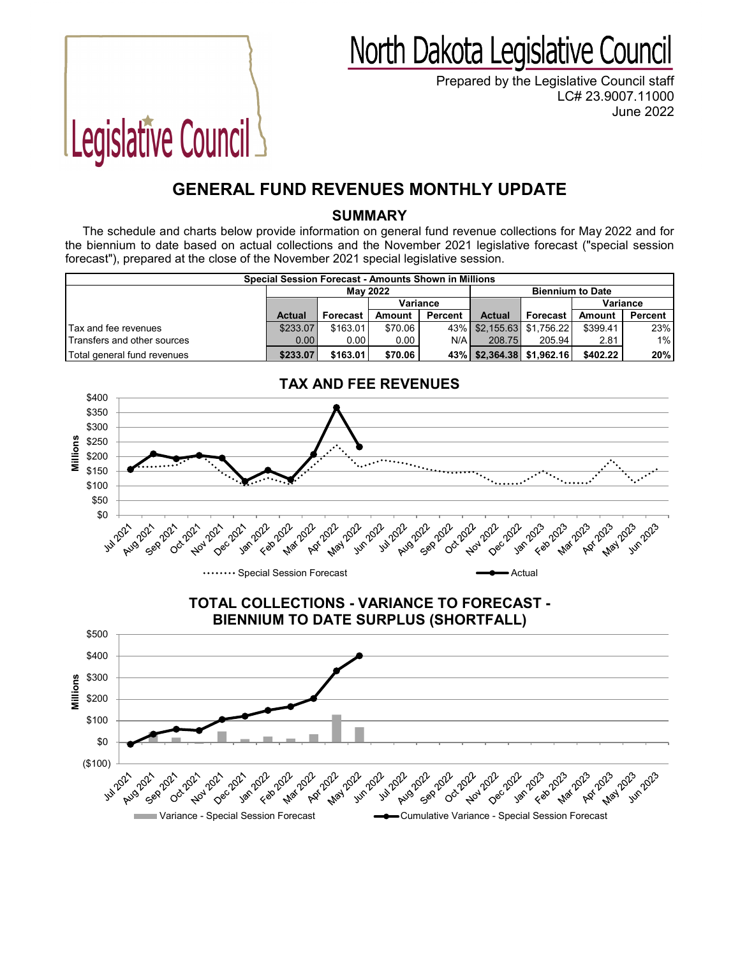## North Dakota Legislative Council

Prepared by the Legislative Council staff LC# 23.9007.11000 June 2022

## **GENERAL FUND REVENUES MONTHLY UPDATE**

Legislative Council

## **SUMMARY**

The schedule and charts below provide information on general fund revenue collections for May 2022 and for the biennium to date based on actual collections and the November 2021 legislative forecast ("special session forecast"), prepared at the close of the November 2021 special legislative session.

| Special Session Forecast - Amounts Shown in Millions |                   |          |          |         |                         |                               |          |         |  |  |  |
|------------------------------------------------------|-------------------|----------|----------|---------|-------------------------|-------------------------------|----------|---------|--|--|--|
|                                                      | May 2022          |          |          |         | <b>Biennium to Date</b> |                               |          |         |  |  |  |
|                                                      |                   |          | Variance |         |                         |                               | Variance |         |  |  |  |
|                                                      | <b>Actual</b>     | Forecast | Amount   | Percent | <b>Actual</b>           | Forecast                      | Amount   | Percent |  |  |  |
| Tax and fee revenues                                 | \$233.07          | \$163.01 | \$70.06  |         |                         | 43%   \$2.155.63   \$1.756.22 | \$399.41 | 23%     |  |  |  |
| Transfers and other sources                          | 0.00 <sub>1</sub> | 0.001    | 0.00     | $N/A$ . | 208.75                  | 205.94                        | 2.81     | $1\%$   |  |  |  |
| Total general fund revenues                          | \$233.07          | \$163.01 | \$70.06  |         |                         | 43%   \$2,364.38   \$1,962.16 | \$402.22 | 20%     |  |  |  |